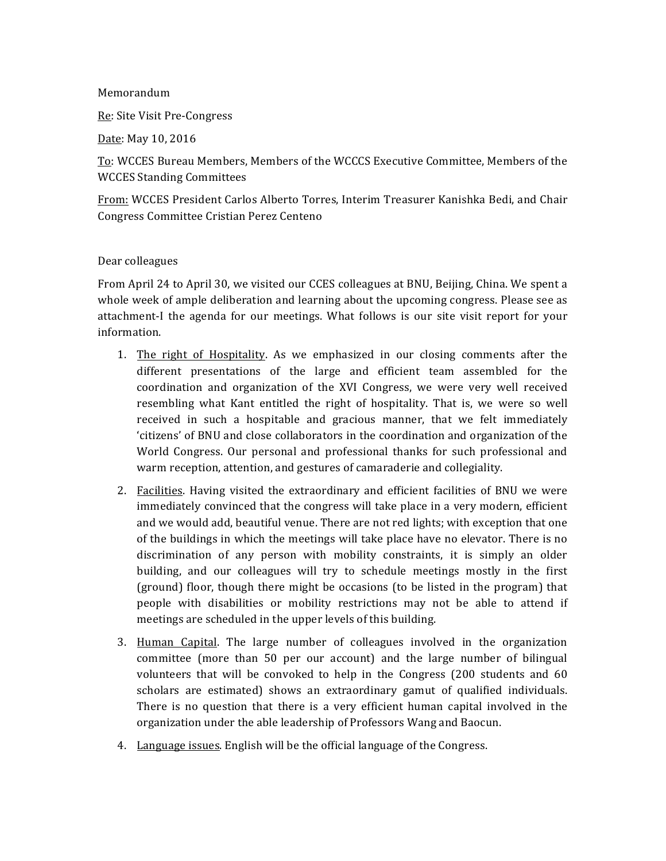#### Memorandum

Re: Site Visit Pre-Congress

Date: May 10, 2016

To: WCCES Bureau Members, Members of the WCCCS Executive Committee, Members of the WCCES Standing Committees

From: WCCES President Carlos Alberto Torres, Interim Treasurer Kanishka Bedi, and Chair Congress Committee Cristian Perez Centeno

#### Dear colleagues

From April 24 to April 30, we visited our CCES colleagues at BNU, Beijing, China. We spent a whole week of ample deliberation and learning about the upcoming congress. Please see as attachment-I the agenda for our meetings. What follows is our site visit report for your information.

- 1. The right of Hospitality. As we emphasized in our closing comments after the different presentations of the large and efficient team assembled for the coordination and organization of the XVI Congress, we were very well received resembling what Kant entitled the right of hospitality. That is, we were so well received in such a hospitable and gracious manner, that we felt immediately 'citizens' of BNU and close collaborators in the coordination and organization of the World Congress. Our personal and professional thanks for such professional and warm reception, attention, and gestures of camaraderie and collegiality.
- 2. Facilities. Having visited the extraordinary and efficient facilities of BNU we were immediately convinced that the congress will take place in a very modern, efficient and we would add, beautiful venue. There are not red lights; with exception that one of the buildings in which the meetings will take place have no elevator. There is no discrimination of any person with mobility constraints, it is simply an older building, and our colleagues will try to schedule meetings mostly in the first (ground) floor, though there might be occasions (to be listed in the program) that people with disabilities or mobility restrictions may not be able to attend if meetings are scheduled in the upper levels of this building.
- 3. Human Capital. The large number of colleagues involved in the organization committee (more than 50 per our account) and the large number of bilingual volunteers that will be convoked to help in the Congress  $(200$  students and  $60$ scholars are estimated) shows an extraordinary gamut of qualified individuals. There is no question that there is a very efficient human capital involved in the organization under the able leadership of Professors Wang and Baocun.
- 4. Language issues. English will be the official language of the Congress.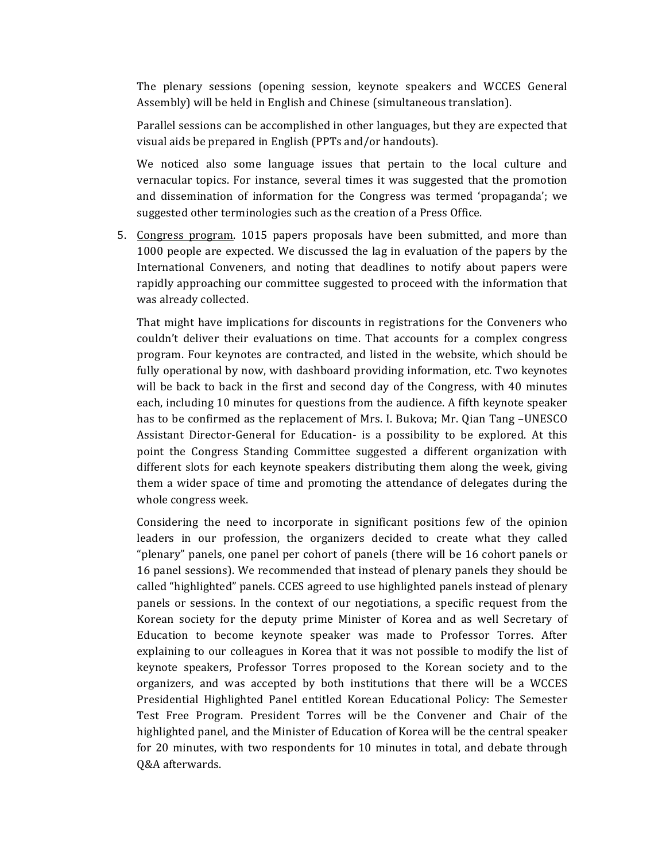The plenary sessions (opening session, keynote speakers and WCCES General Assembly) will be held in English and Chinese (simultaneous translation).

Parallel sessions can be accomplished in other languages, but they are expected that visual aids be prepared in English (PPTs and/or handouts).

We noticed also some language issues that pertain to the local culture and vernacular topics. For instance, several times it was suggested that the promotion and dissemination of information for the Congress was termed 'propaganda'; we suggested other terminologies such as the creation of a Press Office.

5. Congress program. 1015 papers proposals have been submitted, and more than 1000 people are expected. We discussed the lag in evaluation of the papers by the International Conveners, and noting that deadlines to notify about papers were rapidly approaching our committee suggested to proceed with the information that was already collected.

That might have implications for discounts in registrations for the Conveners who couldn't deliver their evaluations on time. That accounts for a complex congress program. Four keynotes are contracted, and listed in the website, which should be fully operational by now, with dashboard providing information, etc. Two keynotes will be back to back in the first and second day of the Congress, with 40 minutes each, including 10 minutes for questions from the audience. A fifth keynote speaker has to be confirmed as the replacement of Mrs. I. Bukova; Mr. Qian Tang -UNESCO Assistant Director-General for Education- is a possibility to be explored. At this point the Congress Standing Committee suggested a different organization with different slots for each keynote speakers distributing them along the week, giving them a wider space of time and promoting the attendance of delegates during the whole congress week.

Considering the need to incorporate in significant positions few of the opinion leaders in our profession, the organizers decided to create what they called "plenary" panels, one panel per cohort of panels (there will be 16 cohort panels or 16 panel sessions). We recommended that instead of plenary panels they should be called "highlighted" panels. CCES agreed to use highlighted panels instead of plenary panels or sessions. In the context of our negotiations, a specific request from the Korean society for the deputy prime Minister of Korea and as well Secretary of Education to become keynote speaker was made to Professor Torres. After explaining to our colleagues in Korea that it was not possible to modify the list of keynote speakers, Professor Torres proposed to the Korean society and to the organizers, and was accepted by both institutions that there will be a WCCES Presidential Highlighted Panel entitled Korean Educational Policy: The Semester Test Free Program. President Torres will be the Convener and Chair of the highlighted panel, and the Minister of Education of Korea will be the central speaker for 20 minutes, with two respondents for 10 minutes in total, and debate through Q&A afterwards.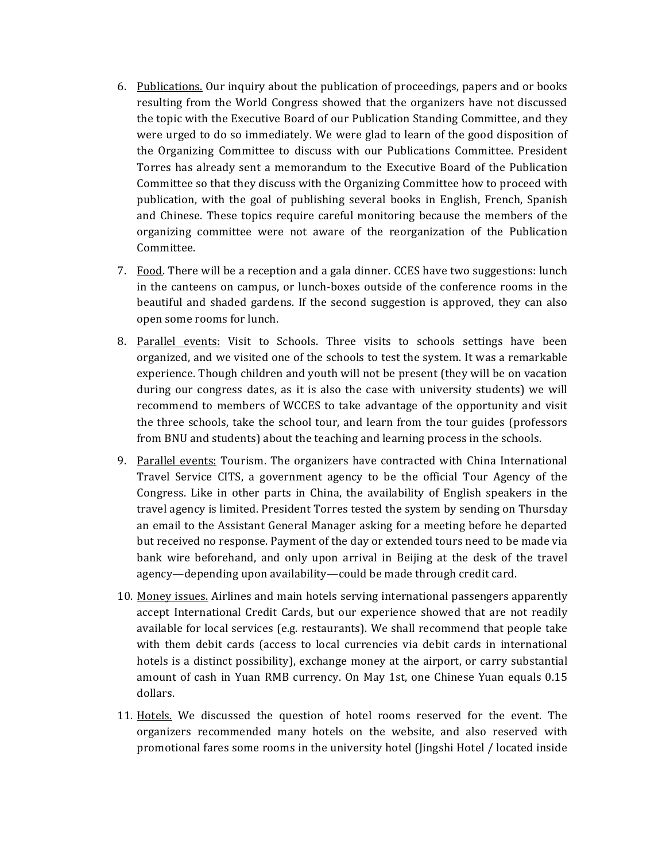- 6. Publications. Our inquiry about the publication of proceedings, papers and or books resulting from the World Congress showed that the organizers have not discussed the topic with the Executive Board of our Publication Standing Committee, and they were urged to do so immediately. We were glad to learn of the good disposition of the Organizing Committee to discuss with our Publications Committee. President Torres has already sent a memorandum to the Executive Board of the Publication Committee so that they discuss with the Organizing Committee how to proceed with publication, with the goal of publishing several books in English, French, Spanish and Chinese. These topics require careful monitoring because the members of the organizing committee were not aware of the reorganization of the Publication Committee.
- 7. Food. There will be a reception and a gala dinner. CCES have two suggestions: lunch in the canteens on campus, or lunch-boxes outside of the conference rooms in the beautiful and shaded gardens. If the second suggestion is approved, they can also open some rooms for lunch.
- 8. Parallel events: Visit to Schools. Three visits to schools settings have been organized, and we visited one of the schools to test the system. It was a remarkable experience. Though children and youth will not be present (they will be on vacation during our congress dates, as it is also the case with university students) we will recommend to members of WCCES to take advantage of the opportunity and visit the three schools, take the school tour, and learn from the tour guides (professors from BNU and students) about the teaching and learning process in the schools.
- 9. Parallel events: Tourism. The organizers have contracted with China International Travel Service CITS, a government agency to be the official Tour Agency of the Congress. Like in other parts in China, the availability of English speakers in the travel agency is limited. President Torres tested the system by sending on Thursday an email to the Assistant General Manager asking for a meeting before he departed but received no response. Payment of the day or extended tours need to be made via bank wire beforehand, and only upon arrival in Beijing at the desk of the travel agency—depending upon availability—could be made through credit card.
- 10. Money issues. Airlines and main hotels serving international passengers apparently accept International Credit Cards, but our experience showed that are not readily available for local services  $(e.g.$  restaurants). We shall recommend that people take with them debit cards (access to local currencies via debit cards in international hotels is a distinct possibility), exchange money at the airport, or carry substantial amount of cash in Yuan RMB currency. On May 1st, one Chinese Yuan equals 0.15 dollars.
- 11. Hotels. We discussed the question of hotel rooms reserved for the event. The organizers recommended many hotels on the website, and also reserved with promotional fares some rooms in the university hotel (Jingshi Hotel / located inside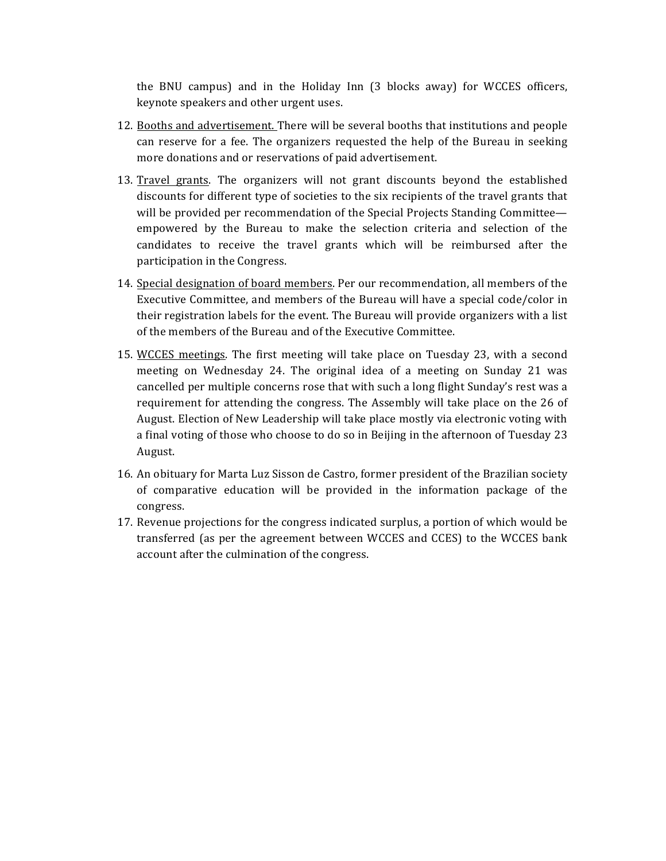the BNU campus) and in the Holiday Inn (3 blocks away) for WCCES officers, keynote speakers and other urgent uses.

- 12. Booths and advertisement. There will be several booths that institutions and people can reserve for a fee. The organizers requested the help of the Bureau in seeking more donations and or reservations of paid advertisement.
- 13. Travel grants. The organizers will not grant discounts beyond the established discounts for different type of societies to the six recipients of the travel grants that will be provided per recommendation of the Special Projects Standing Committee empowered by the Bureau to make the selection criteria and selection of the candidates to receive the travel grants which will be reimbursed after the participation in the Congress.
- 14. Special designation of board members. Per our recommendation, all members of the Executive Committee, and members of the Bureau will have a special code/color in their registration labels for the event. The Bureau will provide organizers with a list of the members of the Bureau and of the Executive Committee.
- 15. WCCES meetings. The first meeting will take place on Tuesday 23, with a second meeting on Wednesday 24. The original idea of a meeting on Sunday 21 was cancelled per multiple concerns rose that with such a long flight Sunday's rest was a requirement for attending the congress. The Assembly will take place on the 26 of August. Election of New Leadership will take place mostly via electronic voting with a final voting of those who choose to do so in Beijing in the afternoon of Tuesday 23 August.
- 16. An obituary for Marta Luz Sisson de Castro, former president of the Brazilian society of comparative education will be provided in the information package of the congress.
- 17. Revenue projections for the congress indicated surplus, a portion of which would be transferred (as per the agreement between WCCES and CCES) to the WCCES bank account after the culmination of the congress.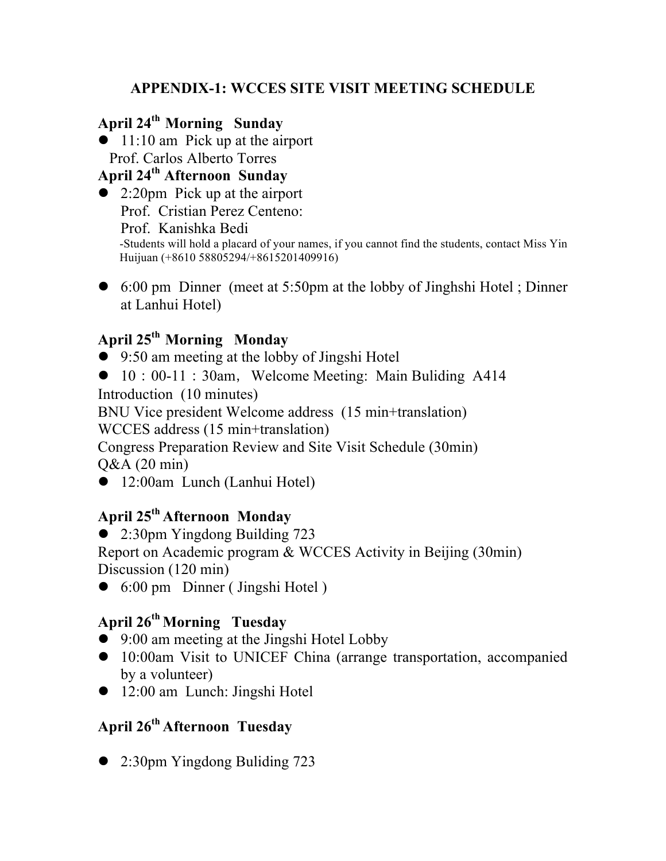### **APPENDIX-1: WCCES SITE VISIT MEETING SCHEDULE**

# **April 24th Morning Sunday**

 $\bullet$  11:10 am Pick up at the airport Prof. Carlos Alberto Torres

#### **April 24th Afternoon Sunday**

- $\bullet$  2:20pm Pick up at the airport Prof. Cristian Perez Centeno: Prof. Kanishka Bedi<br>-Students will hold a placard of your names, if you cannot find the students, contact Miss Yin Huijuan (+8610 58805294/+8615201409916)
- l 6:00 pm Dinner (meet at 5:50pm at the lobby of Jinghshi Hotel ; Dinner at Lanhui Hotel)

### **April 25th Morning Monday**

- $\bullet$  9:50 am meeting at the lobby of Jingshi Hotel
- $\bullet$  10:00-11:30am, Welcome Meeting: Main Buliding A414

Introduction (10 minutes)

BNU Vice president Welcome address (15 min+translation)

WCCES address (15 min+translation)

Congress Preparation Review and Site Visit Schedule (30min) Q&A (20 min)

• 12:00am Lunch (Lanhui Hotel)

# **April 25th Afternoon Monday**

 $\bullet$  2:30pm Yingdong Building 723

Report on Academic program & WCCES Activity in Beijing (30min) Discussion (120 min)

 $\bullet$  6:00 pm Dinner (Jingshi Hotel)

## **April 26th Morning Tuesday**

- 9:00 am meeting at the Jingshi Hotel Lobby
- 10:00am Visit to UNICEF China (arrange transportation, accompanied by a volunteer)
- 12:00 am Lunch: Jingshi Hotel

# **April 26th Afternoon Tuesday**

 $\bullet$  2:30pm Yingdong Buliding 723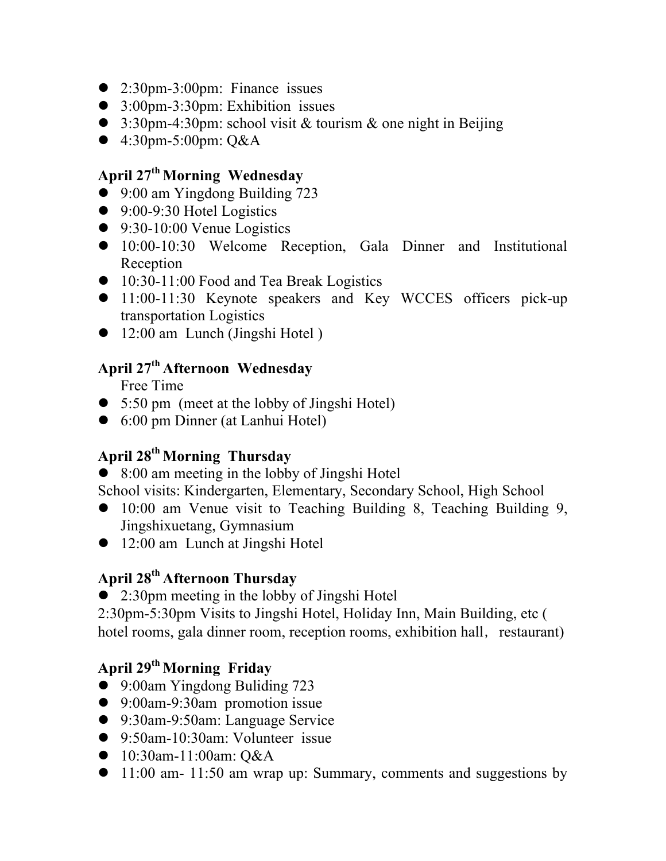- $\bullet$  2:30pm-3:00pm: Finance issues
- $\bullet$  3:00pm-3:30pm: Exhibition issues
- 3:30pm-4:30pm: school visit & tourism & one night in Beijing
- 4:30pm-5:00pm: Q&A

# **April 27th Morning Wednesday**

- $\bullet$  9:00 am Yingdong Building 723
- $\bullet$  9:00-9:30 Hotel Logistics
- $\bullet$  9:30-10:00 Venue Logistics
- 10:00-10:30 Welcome Reception, Gala Dinner and Institutional Reception
- **10:30-11:00 Food and Tea Break Logistics**
- 11:00-11:30 Keynote speakers and Key WCCES officers pick-up transportation Logistics
- $\bullet$  12:00 am Lunch (Jingshi Hotel)

#### **April 27th Afternoon Wednesday**

Free Time

- $\bullet$  5:50 pm (meet at the lobby of Jingshi Hotel)
- $\bullet$  6:00 pm Dinner (at Lanhui Hotel)

### **April 28th Morning Thursday**

 $\bullet$  8:00 am meeting in the lobby of Jingshi Hotel

School visits: Kindergarten, Elementary, Secondary School, High School

- 10:00 am Venue visit to Teaching Building 8, Teaching Building 9, Jingshixuetang, Gymnasium
- $\bullet$  12:00 am Lunch at Jingshi Hotel

### **April 28th Afternoon Thursday**

 $\bullet$  2:30pm meeting in the lobby of Jingshi Hotel

2:30pm-5:30pm Visits to Jingshi Hotel, Holiday Inn, Main Building, etc ( hotel rooms, gala dinner room, reception rooms, exhibition hall, restaurant)

## **April 29th Morning Friday**

- 9:00am Yingdong Buliding 723
- 9:00am-9:30am promotion issue
- 9:30am-9:50am: Language Service
- 9:50am-10:30am: Volunteer issue
- 10:30am-11:00am: Q&A
- $\bullet$  11:00 am- 11:50 am wrap up: Summary, comments and suggestions by